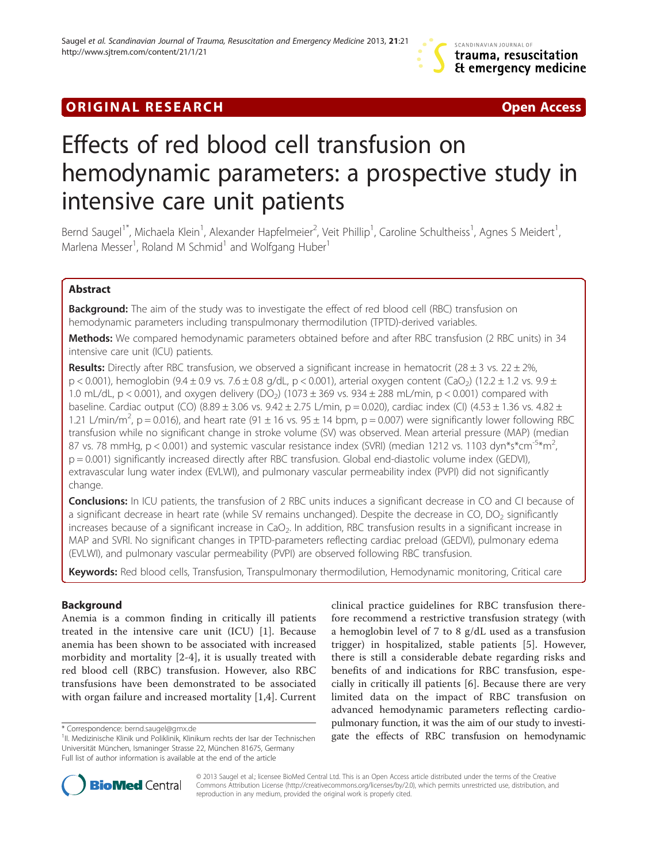## **ORIGINAL RESEARCH CONSUMING A RESEARCH CONSUMING A RESEARCH**

# Effects of red blood cell transfusion on hemodynamic parameters: a prospective study in intensive care unit patients

Bernd Saugel<sup>1\*</sup>, Michaela Klein<sup>1</sup>, Alexander Hapfelmeier<sup>2</sup>, Veit Phillip<sup>1</sup>, Caroline Schultheiss<sup>1</sup>, Agnes S Meidert<sup>1</sup> , Marlena Messer<sup>1</sup>, Roland M Schmid<sup>1</sup> and Wolfgang Huber<sup>1</sup>

## Abstract

**Background:** The aim of the study was to investigate the effect of red blood cell (RBC) transfusion on hemodynamic parameters including transpulmonary thermodilution (TPTD)-derived variables.

Methods: We compared hemodynamic parameters obtained before and after RBC transfusion (2 RBC units) in 34 intensive care unit (ICU) patients.

**Results:** Directly after RBC transfusion, we observed a significant increase in hematocrit (28  $\pm$  3 vs. 22  $\pm$  2%,  $p < 0.001$ ), hemoglobin (9.4 ± 0.9 vs. 7.6 ± 0.8 g/dL,  $p < 0.001$ ), arterial oxygen content (CaO<sub>2</sub>) (12.2 ± 1.2 vs. 9.9 ± 1.0 mL/dL, p < 0.001), and oxygen delivery (DO<sub>2</sub>) (1073 ± 369 vs. 934 ± 288 mL/min, p < 0.001) compared with baseline. Cardiac output (CO) (8.89 ± 3.06 vs.  $9.42 \pm 2.75$  L/min, p = 0.020), cardiac index (Cl) (4.53  $\pm$  1.36 vs. 4.82  $\pm$ 1.21 L/min/m<sup>2</sup>, p = 0.016), and heart rate (91  $\pm$  16 vs. 95  $\pm$  14 bpm, p = 0.007) were significantly lower following RBC transfusion while no significant change in stroke volume (SV) was observed. Mean arterial pressure (MAP) (median 87 vs. 78 mmHg,  $p < 0.001$ ) and systemic vascular resistance index (SVRI) (median 1212 vs. 1103 dyn\*s\*cm<sup>-5\*</sup>m<sup>2</sup>, , p = 0.001) significantly increased directly after RBC transfusion. Global end-diastolic volume index (GEDVI), extravascular lung water index (EVLWI), and pulmonary vascular permeability index (PVPI) did not significantly change.

Conclusions: In ICU patients, the transfusion of 2 RBC units induces a significant decrease in CO and CI because of a significant decrease in heart rate (while SV remains unchanged). Despite the decrease in CO, DO<sub>2</sub> significantly increases because of a significant increase in  $CaO<sub>2</sub>$ . In addition, RBC transfusion results in a significant increase in MAP and SVRI. No significant changes in TPTD-parameters reflecting cardiac preload (GEDVI), pulmonary edema (EVLWI), and pulmonary vascular permeability (PVPI) are observed following RBC transfusion.

Keywords: Red blood cells, Transfusion, Transpulmonary thermodilution, Hemodynamic monitoring, Critical care

## Background

Anemia is a common finding in critically ill patients treated in the intensive care unit (ICU) [[1\]](#page-5-0). Because anemia has been shown to be associated with increased morbidity and mortality [[2-4\]](#page-5-0), it is usually treated with red blood cell (RBC) transfusion. However, also RBC transfusions have been demonstrated to be associated with organ failure and increased mortality [\[1,4](#page-5-0)]. Current

clinical practice guidelines for RBC transfusion therefore recommend a restrictive transfusion strategy (with a hemoglobin level of 7 to 8 g/dL used as a transfusion trigger) in hospitalized, stable patients [[5\]](#page-5-0). However, there is still a considerable debate regarding risks and benefits of and indications for RBC transfusion, especially in critically ill patients [\[6](#page-5-0)]. Because there are very limited data on the impact of RBC transfusion on advanced hemodynamic parameters reflecting cardiopulmonary function, it was the aim of our study to investigate the effects of RBC transfusion on hemodynamic<br><sup>1</sup>II. Medizinische Klinik und Poliklinik. Klinikum rechts der Isar der Technischen **gate the effects of RBC transfusion on hemodynamic** 



© 2013 Saugel et al.; licensee BioMed Central Ltd. This is an Open Access article distributed under the terms of the Creative Commons Attribution License [\(http://creativecommons.org/licenses/by/2.0\)](http://creativecommons.org/licenses/by/2.0), which permits unrestricted use, distribution, and reproduction in any medium, provided the original work is properly cited.

<sup>&</sup>lt;sup>1</sup>II. Medizinische Klinik und Poliklinik, Klinikum rechts der Isar der Technischen Universität München, Ismaninger Strasse 22, München 81675, Germany Full list of author information is available at the end of the article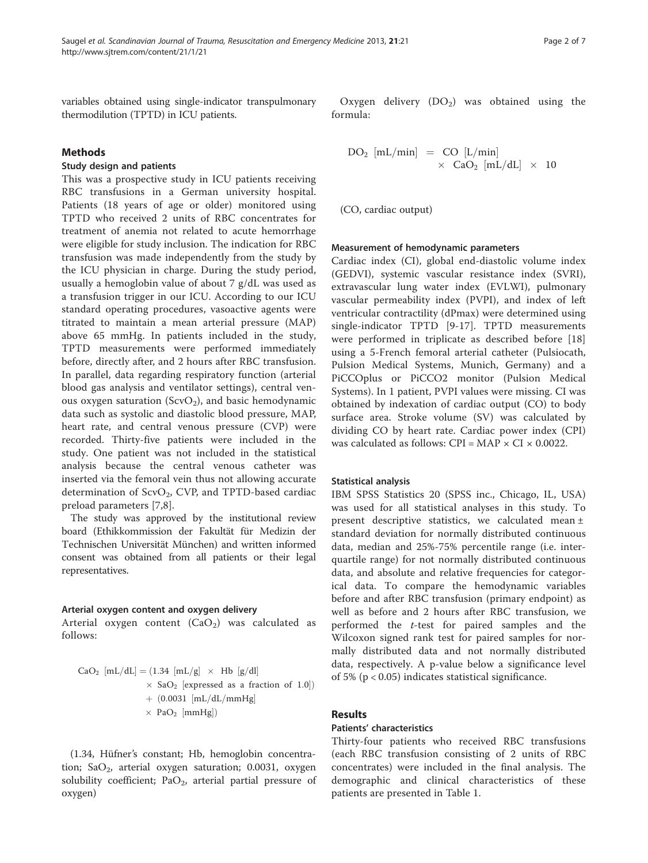variables obtained using single-indicator transpulmonary thermodilution (TPTD) in ICU patients.

## Methods

## Study design and patients

This was a prospective study in ICU patients receiving RBC transfusions in a German university hospital. Patients (18 years of age or older) monitored using TPTD who received 2 units of RBC concentrates for treatment of anemia not related to acute hemorrhage were eligible for study inclusion. The indication for RBC transfusion was made independently from the study by the ICU physician in charge. During the study period, usually a hemoglobin value of about 7 g/dL was used as a transfusion trigger in our ICU. According to our ICU standard operating procedures, vasoactive agents were titrated to maintain a mean arterial pressure (MAP) above 65 mmHg. In patients included in the study, TPTD measurements were performed immediately before, directly after, and 2 hours after RBC transfusion. In parallel, data regarding respiratory function (arterial blood gas analysis and ventilator settings), central venous oxygen saturation (ScvO<sub>2</sub>), and basic hemodynamic data such as systolic and diastolic blood pressure, MAP, heart rate, and central venous pressure (CVP) were recorded. Thirty-five patients were included in the study. One patient was not included in the statistical analysis because the central venous catheter was inserted via the femoral vein thus not allowing accurate determination of  $ScvO<sub>2</sub>$ , CVP, and TPTD-based cardiac preload parameters [[7,8\]](#page-5-0).

The study was approved by the institutional review board (Ethikkommission der Fakultät für Medizin der Technischen Universität München) and written informed consent was obtained from all patients or their legal representatives.

#### Arterial oxygen content and oxygen delivery

Arterial oxygen content  $(CaO<sub>2</sub>)$  was calculated as follows:

$$
CaO2 [mL/dL] = (1.34 [mL/g] \times Hb [g/dl] \times SaO2 [expressed as a fraction of 1.0]) \times [mL/dL/mmHg] \times PaO2 [mmHg])
$$

(1.34, Hüfner's constant; Hb, hemoglobin concentration;  $SaO<sub>2</sub>$ , arterial oxygen saturation; 0.0031, oxygen solubility coefficient;  $PaO<sub>2</sub>$ , arterial partial pressure of oxygen)

Oxygen delivery  $(DO_2)$  was obtained using the formula:

$$
DO_{2} [mL/min] = CO [L/min]
$$
  

$$
\times CO_{2} [mL/dL] \times 10
$$

(CO, cardiac output)

#### Measurement of hemodynamic parameters

Cardiac index (CI), global end-diastolic volume index (GEDVI), systemic vascular resistance index (SVRI), extravascular lung water index (EVLWI), pulmonary vascular permeability index (PVPI), and index of left ventricular contractility (dPmax) were determined using single-indicator TPTD [[9-](#page-5-0)[17](#page-6-0)]. TPTD measurements were performed in triplicate as described before [\[18](#page-6-0)] using a 5-French femoral arterial catheter (Pulsiocath, Pulsion Medical Systems, Munich, Germany) and a PiCCOplus or PiCCO2 monitor (Pulsion Medical Systems). In 1 patient, PVPI values were missing. CI was obtained by indexation of cardiac output (CO) to body surface area. Stroke volume (SV) was calculated by dividing CO by heart rate. Cardiac power index (CPI) was calculated as follows:  $CPI = MAP \times CI \times 0.0022$ .

## Statistical analysis

IBM SPSS Statistics 20 (SPSS inc., Chicago, IL, USA) was used for all statistical analyses in this study. To present descriptive statistics, we calculated mean ± standard deviation for normally distributed continuous data, median and 25%-75% percentile range (i.e. interquartile range) for not normally distributed continuous data, and absolute and relative frequencies for categorical data. To compare the hemodynamic variables before and after RBC transfusion (primary endpoint) as well as before and 2 hours after RBC transfusion, we performed the t-test for paired samples and the Wilcoxon signed rank test for paired samples for normally distributed data and not normally distributed data, respectively. A p-value below a significance level of 5% (p < 0.05) indicates statistical significance.

## Results

## Patients' characteristics

Thirty-four patients who received RBC transfusions (each RBC transfusion consisting of 2 units of RBC concentrates) were included in the final analysis. The demographic and clinical characteristics of these patients are presented in Table [1](#page-2-0).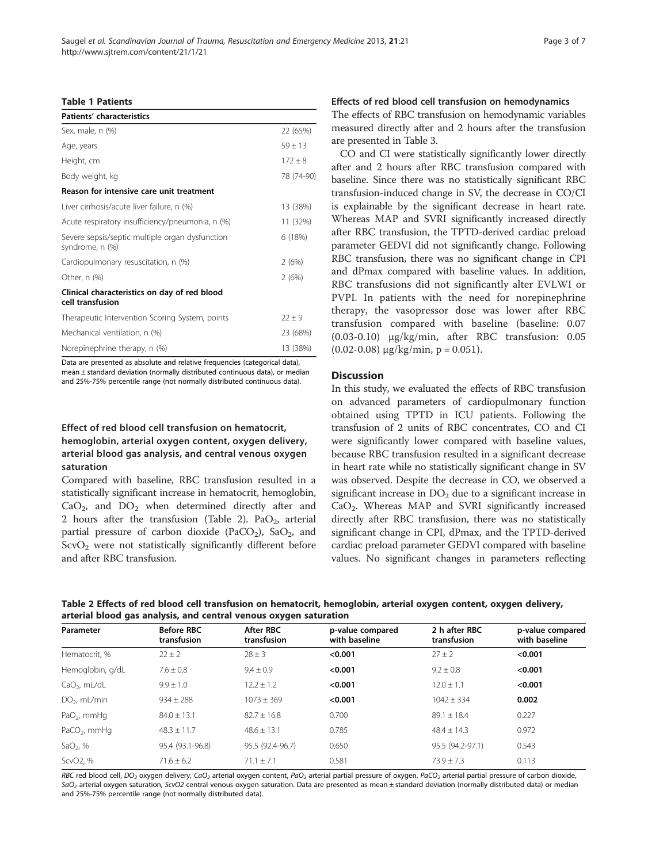## <span id="page-2-0"></span>Table 1 Patients

| Patients' characteristics                                          |             |
|--------------------------------------------------------------------|-------------|
| Sex, male, n (%)                                                   | 22 (65%)    |
| Age, years                                                         | $59 + 13$   |
| Height, cm                                                         | $172 \pm 8$ |
| Body weight, kg                                                    | 78 (74-90)  |
| Reason for intensive care unit treatment                           |             |
| Liver cirrhosis/acute liver failure, n (%)                         | 13 (38%)    |
| Acute respiratory insufficiency/pneumonia, n (%)                   | 11 (32%)    |
| Severe sepsis/septic multiple organ dysfunction<br>syndrome, n (%) | 6 (18%)     |
| Cardiopulmonary resuscitation, n (%)                               | 2(6%)       |
| Other, $n$ $%$                                                     | 2(6%)       |
| Clinical characteristics on day of red blood<br>cell transfusion   |             |
| Therapeutic Intervention Scoring System, points                    | $22 + 9$    |
| Mechanical ventilation, n (%)                                      | 23 (68%)    |
| Norepinephrine therapy, n (%)                                      | 13 (38%)    |

Data are presented as absolute and relative frequencies (categorical data), mean ± standard deviation (normally distributed continuous data), or median and 25%-75% percentile range (not normally distributed continuous data).

## Effect of red blood cell transfusion on hematocrit, hemoglobin, arterial oxygen content, oxygen delivery, arterial blood gas analysis, and central venous oxygen saturation

Compared with baseline, RBC transfusion resulted in a statistically significant increase in hematocrit, hemoglobin,  $CaO<sub>2</sub>$ , and  $DO<sub>2</sub>$  when determined directly after and 2 hours after the transfusion (Table 2). Pa $O_2$ , arterial partial pressure of carbon dioxide (PaCO<sub>2</sub>), SaO<sub>2</sub>, and  $ScvO<sub>2</sub>$  were not statistically significantly different before and after RBC transfusion.

## Effects of red blood cell transfusion on hemodynamics

The effects of RBC transfusion on hemodynamic variables measured directly after and 2 hours after the transfusion are presented in Table [3](#page-3-0).

CO and CI were statistically significantly lower directly after and 2 hours after RBC transfusion compared with baseline. Since there was no statistically significant RBC transfusion-induced change in SV, the decrease in CO/CI is explainable by the significant decrease in heart rate. Whereas MAP and SVRI significantly increased directly after RBC transfusion, the TPTD-derived cardiac preload parameter GEDVI did not significantly change. Following RBC transfusion, there was no significant change in CPI and dPmax compared with baseline values. In addition, RBC transfusions did not significantly alter EVLWI or PVPI. In patients with the need for norepinephrine therapy, the vasopressor dose was lower after RBC transfusion compared with baseline (baseline: 0.07 (0.03-0.10) μg/kg/min, after RBC transfusion: 0.05  $(0.02-0.08)$  μg/kg/min, p = 0.051).

## **Discussion**

In this study, we evaluated the effects of RBC transfusion on advanced parameters of cardiopulmonary function obtained using TPTD in ICU patients. Following the transfusion of 2 units of RBC concentrates, CO and CI were significantly lower compared with baseline values, because RBC transfusion resulted in a significant decrease in heart rate while no statistically significant change in SV was observed. Despite the decrease in CO, we observed a significant increase in  $DO<sub>2</sub>$  due to a significant increase in CaO2. Whereas MAP and SVRI significantly increased directly after RBC transfusion, there was no statistically significant change in CPI, dPmax, and the TPTD-derived cardiac preload parameter GEDVI compared with baseline values. No significant changes in parameters reflecting

Table 2 Effects of red blood cell transfusion on hematocrit, hemoglobin, arterial oxygen content, oxygen delivery, arterial blood gas analysis, and central venous oxygen saturation

| Parameter               | <b>Before RBC</b><br>transfusion | <b>After RBC</b><br>transfusion | p-value compared<br>with baseline | 2 h after RBC<br>transfusion | p-value compared<br>with baseline |
|-------------------------|----------------------------------|---------------------------------|-----------------------------------|------------------------------|-----------------------------------|
| Hematocrit, %           | $22 \pm 2$                       | $28 \pm 3$                      | < 0.001                           | $27 \pm 2$                   | < 0.001                           |
| Hemoglobin, g/dL        | $7.6 \pm 0.8$                    | $9.4 \pm 0.9$                   | < 0.001                           | $9.2 \pm 0.8$                | < 0.001                           |
| $CaO2$ , mL/dL          | $9.9 \pm 1.0$                    | $12.2 \pm 1.2$                  | < 0.001                           | $12.0 \pm 1.1$               | < 0.001                           |
| $DO2$ , mL/min          | $934 \pm 288$                    | $1073 \pm 369$                  | < 0.001                           | $1042 \pm 334$               | 0.002                             |
| PaO <sub>2</sub> , mmHq | $84.0 \pm 13.1$                  | $82.7 \pm 16.8$                 | 0.700                             | $89.1 \pm 18.4$              | 0.227                             |
| $PaCO2$ , mmHq          | $48.3 \pm 11.7$                  | $48.6 \pm 13.1$                 | 0.785                             | $48.4 + 14.3$                | 0.972                             |
| SaO <sub>2</sub> , $%$  | 95.4 (93.1-96.8)                 | 95.5 (92.4-96.7)                | 0.650                             | 95.5 (94.2-97.1)             | 0.543                             |
| ScvO <sub>2</sub> , %   | $71.6 \pm 6.2$                   | $71.1 + 7.1$                    | 0.581                             | $73.9 + 7.3$                 | 0.113                             |

RBC red blood cell, DO<sub>2</sub> oxygen delivery, CaO<sub>2</sub> arterial oxygen content, PaO<sub>2</sub> arterial partial pressure of oxygen, PaCO<sub>2</sub> arterial partial pressure of carbon dioxide,  $SaO<sub>2</sub>$  arterial oxygen saturation, ScvO2 central venous oxygen saturation. Data are presented as mean ± standard deviation (normally distributed data) or median and 25%-75% percentile range (not normally distributed data).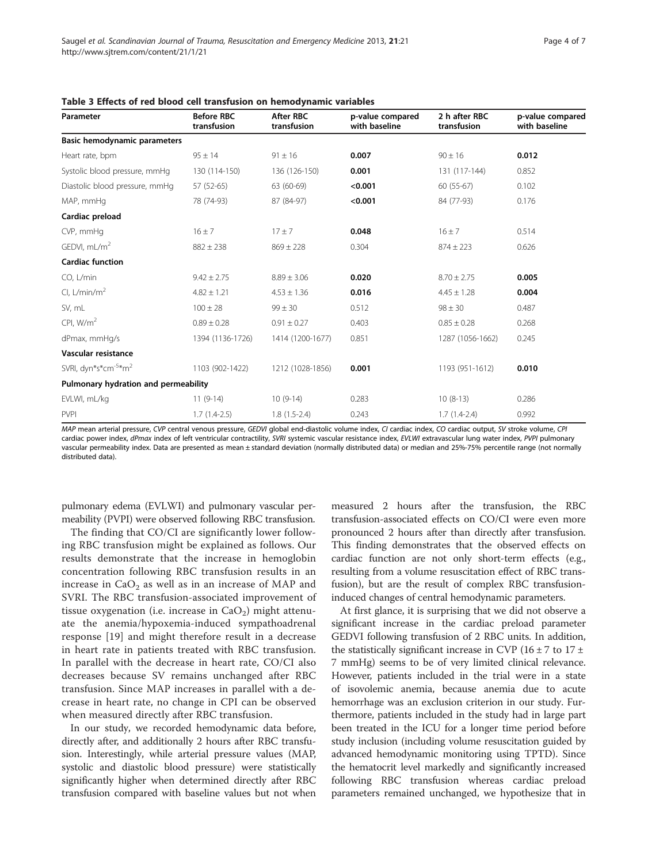| Parameter                                    | <b>Before RBC</b><br>transfusion | <b>After RBC</b><br>transfusion | p-value compared<br>with baseline | 2 h after RBC<br>transfusion | p-value compared<br>with baseline |
|----------------------------------------------|----------------------------------|---------------------------------|-----------------------------------|------------------------------|-----------------------------------|
| <b>Basic hemodynamic parameters</b>          |                                  |                                 |                                   |                              |                                   |
| Heart rate, bpm                              | $95 \pm 14$                      | $91 \pm 16$                     | 0.007                             | $90 \pm 16$                  | 0.012                             |
| Systolic blood pressure, mmHg                | 130 (114-150)                    | 136 (126-150)                   | 0.001                             | 131 (117-144)                | 0.852                             |
| Diastolic blood pressure, mmHg               | 57 (52-65)                       | 63 (60-69)                      | < 0.001                           | $60(55-67)$                  | 0.102                             |
| MAP, mmHg                                    | 78 (74-93)                       | 87 (84-97)                      | < 0.001                           | 84 (77-93)                   | 0.176                             |
| Cardiac preload                              |                                  |                                 |                                   |                              |                                   |
| CVP, mmHq                                    | $16 \pm 7$                       | $17 + 7$                        | 0.048                             | $16 \pm 7$                   | 0.514                             |
| GEDVI, $mL/m2$                               | $882 \pm 238$                    | $869 \pm 228$                   | 0.304                             | $874 \pm 223$                | 0.626                             |
| <b>Cardiac function</b>                      |                                  |                                 |                                   |                              |                                   |
| CO, L/min                                    | $9.42 \pm 2.75$                  | $8.89 \pm 3.06$                 | 0.020                             | $8.70 \pm 2.75$              | 0.005                             |
| CI, L/min/m <sup>2</sup>                     | $4.82 \pm 1.21$                  | $4.53 \pm 1.36$                 | 0.016                             | $4.45 \pm 1.28$              | 0.004                             |
| SV, mL                                       | $100 \pm 28$                     | $99 \pm 30$                     | 0.512                             | $98 \pm 30$                  | 0.487                             |
| CPI, $W/m2$                                  | $0.89 \pm 0.28$                  | $0.91 \pm 0.27$                 | 0.403                             | $0.85 \pm 0.28$              | 0.268                             |
| dPmax, mmHq/s                                | 1394 (1136-1726)                 | 1414 (1200-1677)                | 0.851                             | 1287 (1056-1662)             | 0.245                             |
| Vascular resistance                          |                                  |                                 |                                   |                              |                                   |
| SVRI, dyn*s*cm <sup>-5</sup> *m <sup>2</sup> | 1103 (902-1422)                  | 1212 (1028-1856)                | 0.001                             | 1193 (951-1612)              | 0.010                             |
| Pulmonary hydration and permeability         |                                  |                                 |                                   |                              |                                   |
| EVLWI, mL/kg                                 | $11(9-14)$                       | $10(9-14)$                      | 0.283                             | $10(8-13)$                   | 0.286                             |
| <b>PVPI</b>                                  | $1.7(1.4-2.5)$                   | $1.8(1.5-2.4)$                  | 0.243                             | $1.7(1.4-2.4)$               | 0.992                             |

<span id="page-3-0"></span>

|  |  |  | Table 3 Effects of red blood cell transfusion on hemodynamic variables |
|--|--|--|------------------------------------------------------------------------|
|--|--|--|------------------------------------------------------------------------|

MAP mean arterial pressure, CVP central venous pressure, GEDVI global end-diastolic volume index, CI cardiac index, CO cardiac output, SV stroke volume, CPI cardiac power index, dPmax index of left ventricular contractility, SVRI systemic vascular resistance index, EVLWI extravascular lung water index, PVPI pulmonary vascular permeability index. Data are presented as mean ± standard deviation (normally distributed data) or median and 25%-75% percentile range (not normally distributed data).

pulmonary edema (EVLWI) and pulmonary vascular permeability (PVPI) were observed following RBC transfusion.

The finding that CO/CI are significantly lower following RBC transfusion might be explained as follows. Our results demonstrate that the increase in hemoglobin concentration following RBC transfusion results in an increase in  $CaO<sub>2</sub>$  as well as in an increase of MAP and SVRI. The RBC transfusion-associated improvement of tissue oxygenation (i.e. increase in  $CaO<sub>2</sub>$ ) might attenuate the anemia/hypoxemia-induced sympathoadrenal response [\[19](#page-6-0)] and might therefore result in a decrease in heart rate in patients treated with RBC transfusion. In parallel with the decrease in heart rate, CO/CI also decreases because SV remains unchanged after RBC transfusion. Since MAP increases in parallel with a decrease in heart rate, no change in CPI can be observed when measured directly after RBC transfusion.

In our study, we recorded hemodynamic data before, directly after, and additionally 2 hours after RBC transfusion. Interestingly, while arterial pressure values (MAP, systolic and diastolic blood pressure) were statistically significantly higher when determined directly after RBC transfusion compared with baseline values but not when measured 2 hours after the transfusion, the RBC transfusion-associated effects on CO/CI were even more pronounced 2 hours after than directly after transfusion. This finding demonstrates that the observed effects on cardiac function are not only short-term effects (e.g., resulting from a volume resuscitation effect of RBC transfusion), but are the result of complex RBC transfusioninduced changes of central hemodynamic parameters.

At first glance, it is surprising that we did not observe a significant increase in the cardiac preload parameter GEDVI following transfusion of 2 RBC units. In addition, the statistically significant increase in CVP (16  $\pm$  7 to 17  $\pm$ 7 mmHg) seems to be of very limited clinical relevance. However, patients included in the trial were in a state of isovolemic anemia, because anemia due to acute hemorrhage was an exclusion criterion in our study. Furthermore, patients included in the study had in large part been treated in the ICU for a longer time period before study inclusion (including volume resuscitation guided by advanced hemodynamic monitoring using TPTD). Since the hematocrit level markedly and significantly increased following RBC transfusion whereas cardiac preload parameters remained unchanged, we hypothesize that in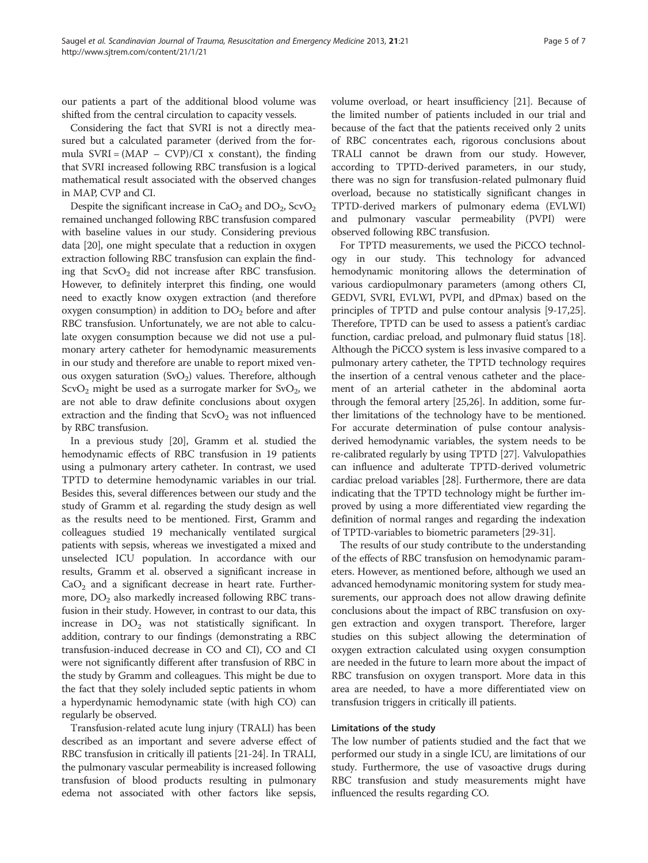our patients a part of the additional blood volume was shifted from the central circulation to capacity vessels.

Considering the fact that SVRI is not a directly measured but a calculated parameter (derived from the formula  $SVRI = (MAP - CVP)/CI$  x constant), the finding that SVRI increased following RBC transfusion is a logical mathematical result associated with the observed changes in MAP, CVP and CI.

Despite the significant increase in  $CaO<sub>2</sub>$  and  $DO<sub>2</sub>$ , ScvO<sub>2</sub> remained unchanged following RBC transfusion compared with baseline values in our study. Considering previous data [[20](#page-6-0)], one might speculate that a reduction in oxygen extraction following RBC transfusion can explain the finding that  $ScvO<sub>2</sub>$  did not increase after RBC transfusion. However, to definitely interpret this finding, one would need to exactly know oxygen extraction (and therefore oxygen consumption) in addition to  $DO<sub>2</sub>$  before and after RBC transfusion. Unfortunately, we are not able to calculate oxygen consumption because we did not use a pulmonary artery catheter for hemodynamic measurements in our study and therefore are unable to report mixed venous oxygen saturation  $(SvO<sub>2</sub>)$  values. Therefore, although  $ScvO<sub>2</sub>$  might be used as a surrogate marker for  $SvO<sub>2</sub>$ , we are not able to draw definite conclusions about oxygen extraction and the finding that  $ScvO<sub>2</sub>$  was not influenced by RBC transfusion.

In a previous study [\[20](#page-6-0)], Gramm et al. studied the hemodynamic effects of RBC transfusion in 19 patients using a pulmonary artery catheter. In contrast, we used TPTD to determine hemodynamic variables in our trial. Besides this, several differences between our study and the study of Gramm et al. regarding the study design as well as the results need to be mentioned. First, Gramm and colleagues studied 19 mechanically ventilated surgical patients with sepsis, whereas we investigated a mixed and unselected ICU population. In accordance with our results, Gramm et al. observed a significant increase in  $CaO<sub>2</sub>$  and a significant decrease in heart rate. Furthermore,  $DO<sub>2</sub>$  also markedly increased following RBC transfusion in their study. However, in contrast to our data, this increase in  $DO<sub>2</sub>$  was not statistically significant. In addition, contrary to our findings (demonstrating a RBC transfusion-induced decrease in CO and CI), CO and CI were not significantly different after transfusion of RBC in the study by Gramm and colleagues. This might be due to the fact that they solely included septic patients in whom a hyperdynamic hemodynamic state (with high CO) can regularly be observed.

Transfusion-related acute lung injury (TRALI) has been described as an important and severe adverse effect of RBC transfusion in critically ill patients [[21](#page-6-0)-[24](#page-6-0)]. In TRALI, the pulmonary vascular permeability is increased following transfusion of blood products resulting in pulmonary edema not associated with other factors like sepsis,

volume overload, or heart insufficiency [\[21\]](#page-6-0). Because of the limited number of patients included in our trial and because of the fact that the patients received only 2 units of RBC concentrates each, rigorous conclusions about TRALI cannot be drawn from our study. However, according to TPTD-derived parameters, in our study, there was no sign for transfusion-related pulmonary fluid overload, because no statistically significant changes in TPTD-derived markers of pulmonary edema (EVLWI) and pulmonary vascular permeability (PVPI) were observed following RBC transfusion.

For TPTD measurements, we used the PiCCO technology in our study. This technology for advanced hemodynamic monitoring allows the determination of various cardiopulmonary parameters (among others CI, GEDVI, SVRI, EVLWI, PVPI, and dPmax) based on the principles of TPTD and pulse contour analysis [[9-](#page-5-0)[17,25](#page-6-0)]. Therefore, TPTD can be used to assess a patient's cardiac function, cardiac preload, and pulmonary fluid status [[18](#page-6-0)]. Although the PiCCO system is less invasive compared to a pulmonary artery catheter, the TPTD technology requires the insertion of a central venous catheter and the placement of an arterial catheter in the abdominal aorta through the femoral artery [\[25,26\]](#page-6-0). In addition, some further limitations of the technology have to be mentioned. For accurate determination of pulse contour analysisderived hemodynamic variables, the system needs to be re-calibrated regularly by using TPTD [[27\]](#page-6-0). Valvulopathies can influence and adulterate TPTD-derived volumetric cardiac preload variables [\[28](#page-6-0)]. Furthermore, there are data indicating that the TPTD technology might be further improved by using a more differentiated view regarding the definition of normal ranges and regarding the indexation of TPTD-variables to biometric parameters [[29-31\]](#page-6-0).

The results of our study contribute to the understanding of the effects of RBC transfusion on hemodynamic parameters. However, as mentioned before, although we used an advanced hemodynamic monitoring system for study measurements, our approach does not allow drawing definite conclusions about the impact of RBC transfusion on oxygen extraction and oxygen transport. Therefore, larger studies on this subject allowing the determination of oxygen extraction calculated using oxygen consumption are needed in the future to learn more about the impact of RBC transfusion on oxygen transport. More data in this area are needed, to have a more differentiated view on transfusion triggers in critically ill patients.

## Limitations of the study

The low number of patients studied and the fact that we performed our study in a single ICU, are limitations of our study. Furthermore, the use of vasoactive drugs during RBC transfusion and study measurements might have influenced the results regarding CO.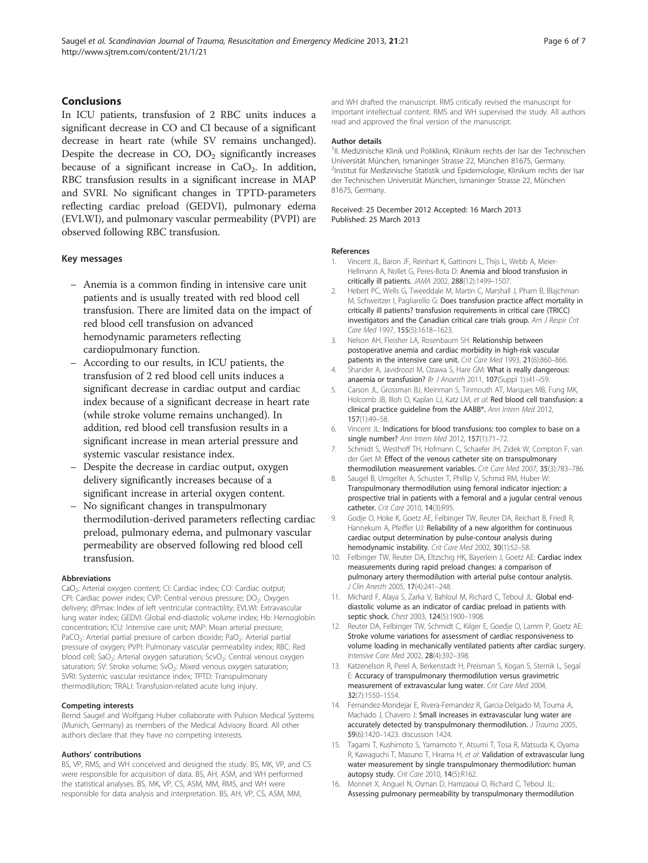## <span id="page-5-0"></span>Conclusions

In ICU patients, transfusion of 2 RBC units induces a significant decrease in CO and CI because of a significant decrease in heart rate (while SV remains unchanged). Despite the decrease in  $CO$ ,  $DO<sub>2</sub>$  significantly increases because of a significant increase in  $CaO<sub>2</sub>$ . In addition, RBC transfusion results in a significant increase in MAP and SVRI. No significant changes in TPTD-parameters reflecting cardiac preload (GEDVI), pulmonary edema (EVLWI), and pulmonary vascular permeability (PVPI) are observed following RBC transfusion.

## Key messages

- Anemia is a common finding in intensive care unit patients and is usually treated with red blood cell transfusion. There are limited data on the impact of red blood cell transfusion on advanced hemodynamic parameters reflecting cardiopulmonary function.
- According to our results, in ICU patients, the transfusion of 2 red blood cell units induces a significant decrease in cardiac output and cardiac index because of a significant decrease in heart rate (while stroke volume remains unchanged). In addition, red blood cell transfusion results in a significant increase in mean arterial pressure and systemic vascular resistance index.
- Despite the decrease in cardiac output, oxygen delivery significantly increases because of a significant increase in arterial oxygen content.
- No significant changes in transpulmonary thermodilution-derived parameters reflecting cardiac preload, pulmonary edema, and pulmonary vascular permeability are observed following red blood cell transfusion.

#### Abbreviations

CaO<sub>2</sub>: Arterial oxygen content; CI: Cardiac index; CO: Cardiac output; CPI: Cardiac power index; CVP: Central venous pressure; DO<sub>2</sub>: Oxygen delivery; dPmax: Index of left ventricular contractility; EVLWI: Extravascular lung water index; GEDVI: Global end-diastolic volume index; Hb: Hemoglobin concentration; ICU: Intensive care unit; MAP: Mean arterial pressure; PaCO<sub>2</sub>: Arterial partial pressure of carbon dioxide; PaO<sub>2</sub>: Arterial partial pressure of oxygen; PVPI: Pulmonary vascular permeability index; RBC: Red blood cell; SaO<sub>2</sub>: Arterial oxygen saturation; ScvO<sub>2</sub>: Central venous oxygen saturation; SV: Stroke volume; SvO<sub>2</sub>: Mixed venous oxygen saturation; SVRI: Systemic vascular resistance index; TPTD: Transpulmonary thermodilution; TRALI: Transfusion-related acute lung injury.

#### Competing interests

Bernd Saugel and Wolfgang Huber collaborate with Pulsion Medical Systems (Munich, Germany) as members of the Medical Advisory Board. All other authors declare that they have no competing interests.

#### Authors' contributions

BS, VP, RMS, and WH conceived and designed the study. BS, MK, VP, and CS were responsible for acquisition of data. BS, AH, ASM, and WH performed the statistical analyses. BS, MK, VP, CS, ASM, MM, RMS, and WH were responsible for data analysis and interpretation. BS, AH, VP, CS, ASM, MM,

and WH drafted the manuscript. RMS critically revised the manuscript for important intellectual content. RMS and WH supervised the study. All authors read and approved the final version of the manuscript.

#### Author details

<sup>1</sup>II. Medizinische Klinik und Poliklinik, Klinikum rechts der Isar der Technischen Universität München, Ismaninger Strasse 22, München 81675, Germany. <sup>2</sup>Institut für Medizinische Statistik und Epidemiologie, Klinikum rechts der Isar der Technischen Universität München, Ismaninger Strasse 22, München 81675, Germany.

#### Received: 25 December 2012 Accepted: 16 March 2013 Published: 25 March 2013

#### References

- Vincent JL, Baron JF, Reinhart K, Gattinoni L, Thijs L, Webb A, Meier-Hellmann A, Nollet G, Peres-Bota D: Anemia and blood transfusion in critically ill patients. JAMA 2002, 288(12):1499–1507.
- 2. Hebert PC, Wells G, Tweeddale M, Martin C, Marshall J, Pham B, Blajchman M, Schweitzer I, Pagliarello G: Does transfusion practice affect mortality in critically ill patients? transfusion requirements in critical care (TRICC) investigators and the Canadian critical care trials group. Am J Respir Crit Care Med 1997, 155(5):1618–1623.
- 3. Nelson AH, Fleisher LA, Rosenbaum SH: Relationship between postoperative anemia and cardiac morbidity in high-risk vascular patients in the intensive care unit. Crit Care Med 1993, 21(6):860–866.
- 4. Shander A, Javidroozi M, Ozawa S, Hare GM: What is really dangerous: anaemia or transfusion? Br J Anaesth 2011, 107(Suppl 1):i41-i59.
- 5. Carson JL, Grossman BJ, Kleinman S, Tinmouth AT, Marques MB, Fung MK, Holcomb JB, Illoh O, Kaplan LJ, Katz LM, et al: Red blood cell transfusion: a clinical practice guideline from the AABB\*. Ann Intern Med 2012, 157(1):49–58.
- 6. Vincent JL: Indications for blood transfusions: too complex to base on a single number? Ann Intern Med 2012, 157(1):71–72.
- 7. Schmidt S, Westhoff TH, Hofmann C, Schaefer JH, Zidek W, Compton F, van der Giet M: Effect of the venous catheter site on transpulmonary thermodilution measurement variables. Crit Care Med 2007, 35(3):783–786.
- 8. Saugel B, Umgelter A, Schuster T, Phillip V, Schmid RM, Huber W: Transpulmonary thermodilution using femoral indicator injection: a prospective trial in patients with a femoral and a jugular central venous catheter. Crit Care 2010, 14(3):R95.
- 9. Godje O, Hoke K, Goetz AE, Felbinger TW, Reuter DA, Reichart B, Friedl R, Hannekum A, Pfeiffer UJ: Reliability of a new algorithm for continuous cardiac output determination by pulse-contour analysis during hemodynamic instability. Crit Care Med 2002, 30(1):52-58.
- 10. Felbinger TW, Reuter DA, Eltzschig HK, Bayerlein J, Goetz AE: Cardiac index measurements during rapid preload changes: a comparison of pulmonary artery thermodilution with arterial pulse contour analysis. J Clin Anesth 2005, 17(4):241–248.
- 11. Michard F, Alaya S, Zarka V, Bahloul M, Richard C, Teboul JL: Global enddiastolic volume as an indicator of cardiac preload in patients with septic shock. Chest 2003, 124(5):1900–1908.
- 12. Reuter DA, Felbinger TW, Schmidt C, Kilger E, Goedje O, Lamm P, Goetz AE: Stroke volume variations for assessment of cardiac responsiveness to volume loading in mechanically ventilated patients after cardiac surgery. Intensive Care Med 2002, 28(4):392–398.
- 13. Katzenelson R, Perel A, Berkenstadt H, Preisman S, Kogan S, Sternik L, Segal E: Accuracy of transpulmonary thermodilution versus gravimetric measurement of extravascular lung water. Crit Care Med 2004, 32(7):1550–1554.
- 14. Fernandez-Mondejar E, Rivera-Fernandez R, Garcia-Delgado M, Touma A, Machado J, Chavero J: Small increases in extravascular lung water are accurately detected by transpulmonary thermodilution. J Trauma 2005, 59(6):1420–1423. discussion 1424.
- 15. Tagami T, Kushimoto S, Yamamoto Y, Atsumi T, Tosa R, Matsuda K, Oyama R, Kawaguchi T, Masuno T, Hirama H, et al: Validation of extravascular lung water measurement by single transpulmonary thermodilution: human autopsy study. Crit Care 2010, 14(5):R162.
- 16. Monnet X, Anguel N, Osman D, Hamzaoui O, Richard C, Teboul JL: Assessing pulmonary permeability by transpulmonary thermodilution